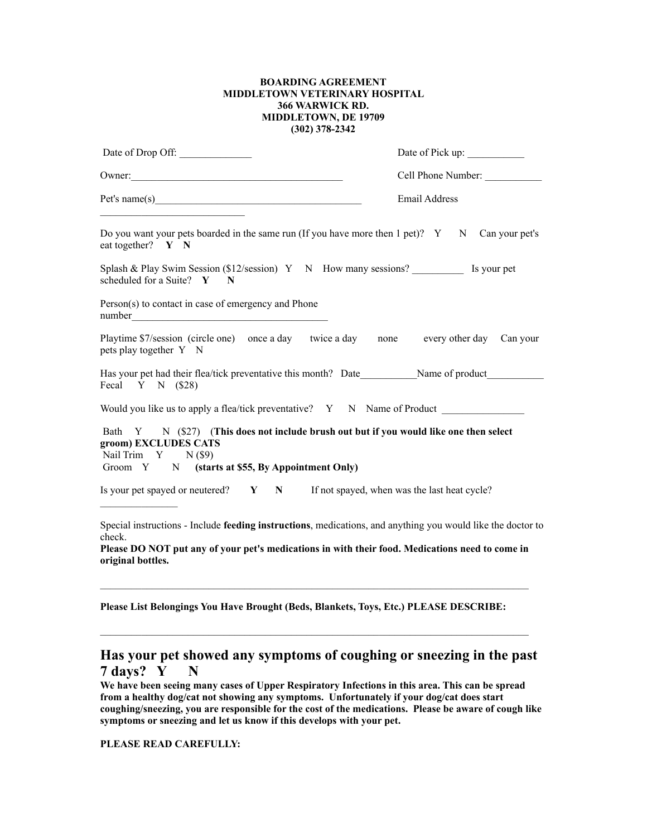### **BOARDING AGREEMENT MIDDLETOWN VETERINARY HOSPITAL 366 WARWICK RD. MIDDLETOWN, DE 19709 (302) 378-2342**

| Date of Drop Off:                                                                                                                                                                                                        | Date of Pick up:<br>Cell Phone Number:<br>Email Address |  |
|--------------------------------------------------------------------------------------------------------------------------------------------------------------------------------------------------------------------------|---------------------------------------------------------|--|
|                                                                                                                                                                                                                          |                                                         |  |
| Pet's $name(s)$                                                                                                                                                                                                          |                                                         |  |
| Do you want your pets boarded in the same run (If you have more then 1 pet)? $Y \t N$ Can your pet's<br>eat together? Y N                                                                                                |                                                         |  |
| Splash & Play Swim Session (\$12/session) Y N How many sessions? Is your pet<br>scheduled for a Suite? Y<br>$\blacksquare$                                                                                               |                                                         |  |
| Person(s) to contact in case of emergency and Phone                                                                                                                                                                      |                                                         |  |
| Playtime \$7/session (circle one) once a day twice a day none every other day Can your<br>pets play together Y N                                                                                                         |                                                         |  |
| Has your pet had their flea/tick preventative this month? Date Name of product<br>Fecal Y N (\$28)                                                                                                                       |                                                         |  |
| Would you like us to apply a flea/tick preventative? Y N Name of Product ______________                                                                                                                                  |                                                         |  |
| Bath Y N (\$27) (This does not include brush out but if you would like one then select<br>groom) EXCLUDES CATS<br>Nail Trim Y N (\$9)<br>Groom Y N (starts at \$55, By Appointment Only)                                 |                                                         |  |
| Is your pet spayed or neutered? $\mathbf{Y} = \mathbf{N}$ If not spayed, when was the last heat cycle?                                                                                                                   |                                                         |  |
| Special instructions - Include feeding instructions, medications, and anything you would like the doctor to<br>check.<br>Please DO NOT put any of your pet's medications in with their food. Medications need to come in |                                                         |  |

**Please List Belongings You Have Brought (Beds, Blankets, Toys, Etc.) PLEASE DESCRIBE:**

# **Has your pet showed any symptoms of coughing or sneezing in the past 7 days? Y N**

 $\mathcal{L}_\text{max}$  , and the contribution of the contribution of the contribution of the contribution of the contribution of the contribution of the contribution of the contribution of the contribution of the contribution of t

**We have been seeing many cases of Upper Respiratory Infections in this area. This can be spread from a healthy dog/cat not showing any symptoms. Unfortunately if your dog/cat does start coughing/sneezing, you are responsible for the cost of the medications. Please be aware of cough like symptoms or sneezing and let us know if this develops with your pet.** 

## **PLEASE READ CAREFULLY:**

**original bottles.**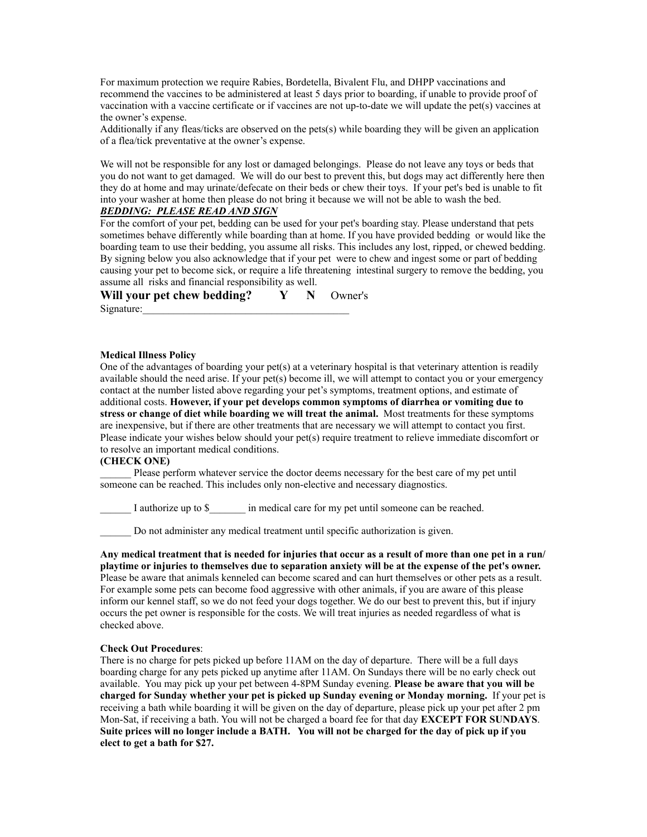For maximum protection we require Rabies, Bordetella, Bivalent Flu, and DHPP vaccinations and recommend the vaccines to be administered at least 5 days prior to boarding, if unable to provide proof of vaccination with a vaccine certificate or if vaccines are not up-to-date we will update the pet(s) vaccines at the owner's expense.

Additionally if any fleas/ticks are observed on the pets(s) while boarding they will be given an application of a flea/tick preventative at the owner's expense.

We will not be responsible for any lost or damaged belongings. Please do not leave any toys or beds that you do not want to get damaged. We will do our best to prevent this, but dogs may act differently here then they do at home and may urinate/defecate on their beds or chew their toys. If your pet's bed is unable to fit into your washer at home then please do not bring it because we will not be able to wash the bed.

# *BEDDING: PLEASE READ AND SIGN*

For the comfort of your pet, bedding can be used for your pet's boarding stay. Please understand that pets sometimes behave differently while boarding than at home. If you have provided bedding or would like the boarding team to use their bedding, you assume all risks. This includes any lost, ripped, or chewed bedding. By signing below you also acknowledge that if your pet were to chew and ingest some or part of bedding causing your pet to become sick, or require a life threatening intestinal surgery to remove the bedding, you assume all risks and financial responsibility as well.

**Will your pet chew bedding?** Y N Owner's Signature:

#### **Medical Illness Policy**

One of the advantages of boarding your pet(s) at a veterinary hospital is that veterinary attention is readily available should the need arise. If your pet(s) become ill, we will attempt to contact you or your emergency contact at the number listed above regarding your pet's symptoms, treatment options, and estimate of additional costs. **However, if your pet develops common symptoms of diarrhea or vomiting due to stress or change of diet while boarding we will treat the animal.** Most treatments for these symptoms are inexpensive, but if there are other treatments that are necessary we will attempt to contact you first. Please indicate your wishes below should your pet(s) require treatment to relieve immediate discomfort or to resolve an important medical conditions.

#### **(CHECK ONE)**

Please perform whatever service the doctor deems necessary for the best care of my pet until someone can be reached. This includes only non-elective and necessary diagnostics.

I authorize up to \$ The medical care for my pet until someone can be reached.

\_\_\_\_\_\_ Do not administer any medical treatment until specific authorization is given.

**Any medical treatment that is needed for injuries that occur as a result of more than one pet in a run/ playtime or injuries to themselves due to separation anxiety will be at the expense of the pet's owner.** Please be aware that animals kenneled can become scared and can hurt themselves or other pets as a result. For example some pets can become food aggressive with other animals, if you are aware of this please inform our kennel staff, so we do not feed your dogs together. We do our best to prevent this, but if injury occurs the pet owner is responsible for the costs. We will treat injuries as needed regardless of what is checked above.

#### **Check Out Procedures**:

There is no charge for pets picked up before 11AM on the day of departure. There will be a full days boarding charge for any pets picked up anytime after 11AM. On Sundays there will be no early check out available. You may pick up your pet between 4-8PM Sunday evening. **Please be aware that you will be charged for Sunday whether your pet is picked up Sunday evening or Monday morning.** If your pet is receiving a bath while boarding it will be given on the day of departure, please pick up your pet after 2 pm Mon-Sat, if receiving a bath. You will not be charged a board fee for that day **EXCEPT FOR SUNDAYS**. **Suite prices will no longer include a BATH. You will not be charged for the day of pick up if you elect to get a bath for \$27.**